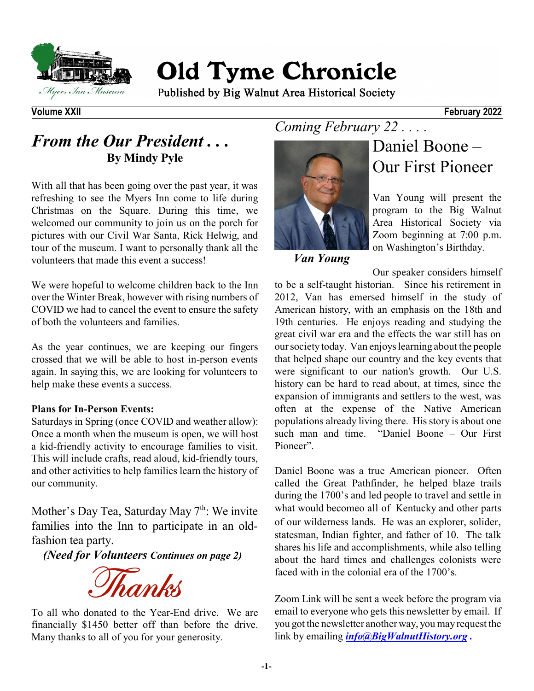

# **Old Tyme Chronicle**

Published by Big Walnut Area Historical Society

### *From the Our President . . .* **By Mindy Pyle**

With all that has been going over the past year, it was refreshing to see the Myers Inn come to life during Christmas on the Square. During this time, we welcomed our community to join us on the porch for pictures with our Civil War Santa, Rick Helwig, and tour of the museum. I want to personally thank all the volunteers that made this event a success!

We were hopeful to welcome children back to the Inn over the Winter Break, however with rising numbers of COVID we had to cancel the event to ensure the safety of both the volunteers and families.

As the year continues, we are keeping our fingers crossed that we will be able to host in-person events again. In saying this, we are looking for volunteers to help make these events a success.

#### **Plans for In-Person Events:**

Saturdays in Spring (once COVID and weather allow): Once a month when the museum is open, we will host a kid-friendly activity to encourage families to visit. This will include crafts, read aloud, kid-friendly tours, and other activities to help families learn the history of our community.

Mother's Day Tea, Saturday May 7<sup>th</sup>: We invite families into the Inn to participate in an oldfashion tea party.

*(Need for Volunteers Continues on page 2)*

Thanks

To all who donated to the Year-End drive. We are financially \$1450 better off than before the drive. Many thanks to all of you for your generosity.

## *Coming February 22 . . . .*



# Daniel Boone – Our First Pioneer

Van Young will present the program to the Big Walnut Area Historical Society via Zoom beginning at 7:00 p.m. on Washington's Birthday.

*Van Young*

Our speaker considers himself to be a self-taught historian. Since his retirement in 2012, Van has emersed himself in the study of American history, with an emphasis on the 18th and 19th centuries. He enjoys reading and studying the great civil war era and the effects the war still has on our society today. Van enjoyslearning about the people that helped shape our country and the key events that were significant to our nation's growth. Our U.S. history can be hard to read about, at times, since the expansion of immigrants and settlers to the west, was often at the expense of the Native American populations already living there. Hisstory is about one such man and time. "Daniel Boone – Our First Pioneer".

Daniel Boone was a true American pioneer. Often called the Great Pathfinder, he helped blaze trails during the 1700's and led people to travel and settle in what would becomeo all of Kentucky and other parts of our wilderness lands. He was an explorer, solider, statesman, Indian fighter, and father of 10. The talk shares his life and accomplishments, while also telling about the hard times and challenges colonists were faced with in the colonial era of the 1700's.

Zoom Link will be sent a week before the program via email to everyone who gets this newsletter by email. If you got the newsletter another way, you may request the link by emailing *[info@BigWalnutHistory.org](mailto:info@BigWalnutHistory.org) .*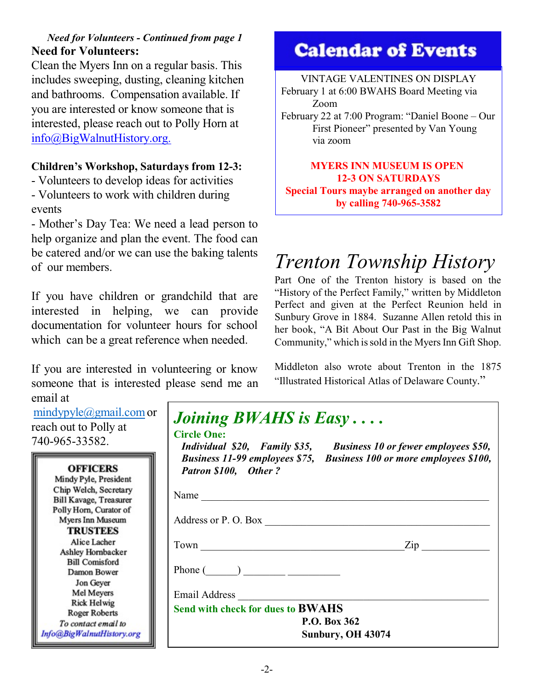### *Need for Volunteers - Continued from page 1* **Need for Volunteers:**

Clean the Myers Inn on a regular basis. This includes sweeping, dusting, cleaning kitchen and bathrooms. Compensation available. If you are interested or know someone that is interested, please reach out to Polly Horn at [info@BigWalnutHistory.org.](mailto:info@BigWalnutHistory.org.)

### **Children's Workshop, Saturdays from 12-3:**

- Volunteers to develop ideas for activities - Volunteers to work with children during events

- Mother's Day Tea: We need a lead person to help organize and plan the event. The food can be catered and/or we can use the baking talents of our members.

If you have children or grandchild that are interested in helping, we can provide documentation for volunteer hours for school which can be a great reference when needed.

If you are interested in volunteering or know someone that is interested please send me an email at

[mindypyle@gmail.com](mailto:mindypyle@gmail.com) c reach out to Polly at 740-965-33582.

| <b>OFFICERS</b>           |
|---------------------------|
| Mindy Pyle, President     |
| Chip Welch, Secretary     |
| Bill Kavage, Treasurer    |
| Polly Horn, Curator of    |
| Myers Inn Museum          |
| <b>TRUSTEES</b>           |
| Alice Lacher              |
| Ashley Hornbacker         |
| <b>Bill Comisford</b>     |
| Damon Bower               |
| Jon Geyer                 |
| Mel Meyers                |
| <b>Rick Helwig</b>        |
| <b>Roger Roberts</b>      |
| To contact email to       |
| Info@BigWalnutHistory.org |

# **Calendar of Events**

### VINTAGE VALENTINES ON DISPLAY February 1 at 6:00 BWAHS Board Meeting via Zoom February 22 at 7:00 Program: "Daniel Boone – Our

First Pioneer" presented by Van Young via zoom

### **MYERS INN MUSEUM IS OPEN 12-3 ON SATURDAYS Special Tours maybe arranged on another day by calling 740-965-3582**

# *Trenton Township History*

Part One of the Trenton history is based on the "History of the Perfect Family," written by Middleton Perfect and given at the Perfect Reunion held in Sunbury Grove in 1884. Suzanne Allen retold this in her book, "A Bit About Our Past in the Big Walnut Community," which is sold in the Myers Inn Gift Shop.

Middleton also wrote about Trenton in the 1875 "Illustrated Historical Atlas of Delaware County."

| Individual \$20, Family \$35, Business 10 or fewer employees \$50,<br>Business 11-99 employees \$75, Business 100 or more employees \$100, |
|--------------------------------------------------------------------------------------------------------------------------------------------|
| Name                                                                                                                                       |
| Address or P. O. Box                                                                                                                       |
| Town<br>$\mathsf{Zip}$                                                                                                                     |
| Phone $\begin{pmatrix} 1 & 1 \\ 1 & 1 \end{pmatrix}$                                                                                       |
| Email Address <b>Email</b>                                                                                                                 |
| <b>Send with check for dues to BWAHS</b>                                                                                                   |
| P.O. Box 362                                                                                                                               |
|                                                                                                                                            |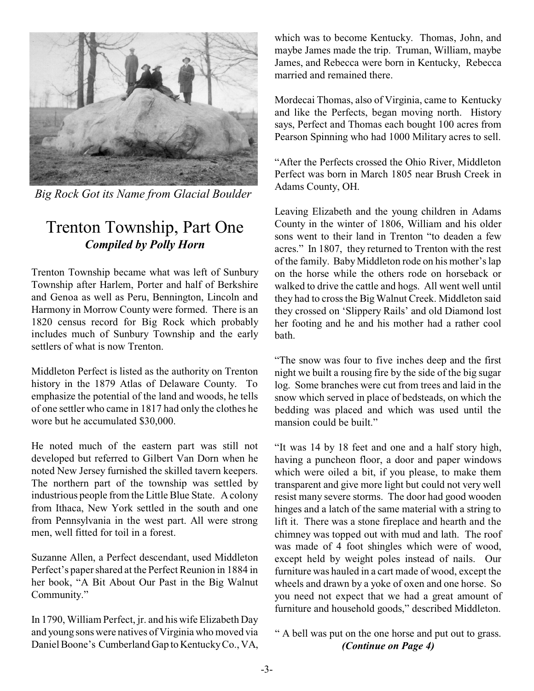

*Big Rock Got its Name from Glacial Boulder*

### Trenton Township, Part One *Compiled by Polly Horn*

Trenton Township became what was left of Sunbury Township after Harlem, Porter and half of Berkshire and Genoa as well as Peru, Bennington, Lincoln and Harmony in Morrow County were formed. There is an 1820 census record for Big Rock which probably includes much of Sunbury Township and the early settlers of what is now Trenton.

Middleton Perfect is listed as the authority on Trenton history in the 1879 Atlas of Delaware County. To emphasize the potential of the land and woods, he tells of one settler who came in 1817 had only the clothes he wore but he accumulated \$30,000.

He noted much of the eastern part was still not developed but referred to Gilbert Van Dorn when he noted New Jersey furnished the skilled tavern keepers. The northern part of the township was settled by industrious people from the Little Blue State. Acolony from Ithaca, New York settled in the south and one from Pennsylvania in the west part. All were strong men, well fitted for toil in a forest.

Suzanne Allen, a Perfect descendant, used Middleton Perfect's papershared at the Perfect Reunion in 1884 in her book, "A Bit About Our Past in the Big Walnut Community."

In 1790, William Perfect, jr. and his wife Elizabeth Day and young sons were natives of Virginia who moved via Daniel Boone's Cumberland Gap to KentuckyCo., VA, which was to become Kentucky. Thomas, John, and maybe James made the trip. Truman, William, maybe James, and Rebecca were born in Kentucky, Rebecca married and remained there.

Mordecai Thomas, also of Virginia, came to Kentucky and like the Perfects, began moving north. History says, Perfect and Thomas each bought 100 acres from Pearson Spinning who had 1000 Military acres to sell.

"After the Perfects crossed the Ohio River, Middleton Perfect was born in March 1805 near Brush Creek in Adams County, OH.

Leaving Elizabeth and the young children in Adams County in the winter of 1806, William and his older sons went to their land in Trenton "to deaden a few acres." In 1807, they returned to Trenton with the rest of the family. BabyMiddleton rode on his mother'slap on the horse while the others rode on horseback or walked to drive the cattle and hogs. All went well until they had to cross the Big Walnut Creek. Middleton said they crossed on 'Slippery Rails' and old Diamond lost her footing and he and his mother had a rather cool bath.

"The snow was four to five inches deep and the first night we built a rousing fire by the side of the big sugar log. Some branches were cut from trees and laid in the snow which served in place of bedsteads, on which the bedding was placed and which was used until the mansion could be built."

"It was 14 by 18 feet and one and a half story high, having a puncheon floor, a door and paper windows which were oiled a bit, if you please, to make them transparent and give more light but could not very well resist many severe storms. The door had good wooden hinges and a latch of the same material with a string to lift it. There was a stone fireplace and hearth and the chimney was topped out with mud and lath. The roof was made of 4 foot shingles which were of wood, except held by weight poles instead of nails. Our furniture was hauled in a cart made of wood, except the wheels and drawn by a yoke of oxen and one horse. So you need not expect that we had a great amount of furniture and household goods," described Middleton.

### " A bell was put on the one horse and put out to grass. *(Continue on Page 4)*